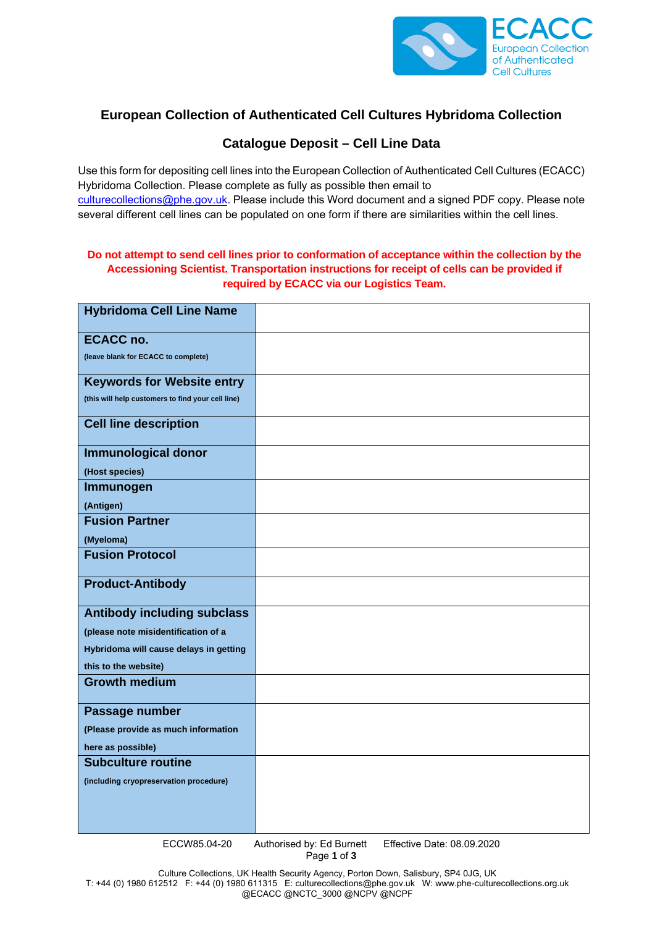

## **European Collection of Authenticated Cell Cultures Hybridoma Collection**

## **Catalogue Deposit – Cell Line Data**

Use this form for depositing cell lines into the European Collection of Authenticated Cell Cultures (ECACC) Hybridoma Collection. Please complete as fully as possible then email to culturecollections@phe.gov.uk. Please include this Word document and a signed PDF copy. Please note several different cell lines can be populated on one form if there are similarities within the cell lines.

## **Do not attempt to send cell lines prior to conformation of acceptance within the collection by the Accessioning Scientist. Transportation instructions for receipt of cells can be provided if required by ECACC via our Logistics Team.**

| <b>Hybridoma Cell Line Name</b>                   |  |
|---------------------------------------------------|--|
| <b>ECACC no.</b>                                  |  |
| (leave blank for ECACC to complete)               |  |
| <b>Keywords for Website entry</b>                 |  |
| (this will help customers to find your cell line) |  |
| <b>Cell line description</b>                      |  |
| <b>Immunological donor</b>                        |  |
| (Host species)                                    |  |
| Immunogen                                         |  |
| (Antigen)                                         |  |
| <b>Fusion Partner</b>                             |  |
| (Myeloma)                                         |  |
| <b>Fusion Protocol</b>                            |  |
| <b>Product-Antibody</b>                           |  |
| <b>Antibody including subclass</b>                |  |
| (please note misidentification of a               |  |
| Hybridoma will cause delays in getting            |  |
| this to the website)                              |  |
| <b>Growth medium</b>                              |  |
| Passage number                                    |  |
| (Please provide as much information               |  |
| here as possible)                                 |  |
| <b>Subculture routine</b>                         |  |
| (including cryopreservation procedure)            |  |
|                                                   |  |
|                                                   |  |
|                                                   |  |

ECCW85.04-20 Authorised by: Ed Burnett Effective Date: 08.09.2020

Page **1** of **3**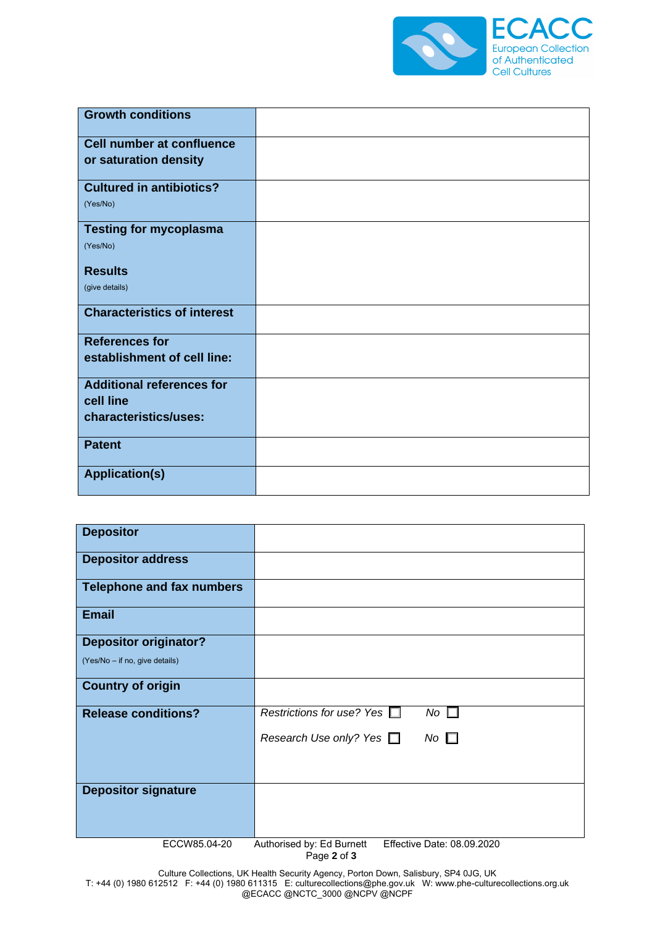

| <b>Growth conditions</b>           |  |
|------------------------------------|--|
| <b>Cell number at confluence</b>   |  |
| or saturation density              |  |
| <b>Cultured in antibiotics?</b>    |  |
| (Yes/No)                           |  |
| <b>Testing for mycoplasma</b>      |  |
| (Yes/No)                           |  |
| <b>Results</b>                     |  |
| (give details)                     |  |
| <b>Characteristics of interest</b> |  |
| <b>References for</b>              |  |
| establishment of cell line:        |  |
| <b>Additional references for</b>   |  |
| cell line                          |  |
| characteristics/uses:              |  |
| <b>Patent</b>                      |  |
| <b>Application(s)</b>              |  |

| <b>Depositor</b>                 |                                            |
|----------------------------------|--------------------------------------------|
| <b>Depositor address</b>         |                                            |
| <b>Telephone and fax numbers</b> |                                            |
| <b>Email</b>                     |                                            |
| <b>Depositor originator?</b>     |                                            |
| (Yes/No - if no, give details)   |                                            |
| <b>Country of origin</b>         |                                            |
| <b>Release conditions?</b>       | Restrictions for use? Yes $\Box$<br>No     |
|                                  | $No \Box$<br>Research Use only? Yes $\Box$ |
|                                  |                                            |
| <b>Depositor signature</b>       |                                            |
|                                  |                                            |
|                                  |                                            |

ECCW85.04-20 Authorised by: Ed Burnett Effective Date: 08.09.2020

Page **2** of **3**